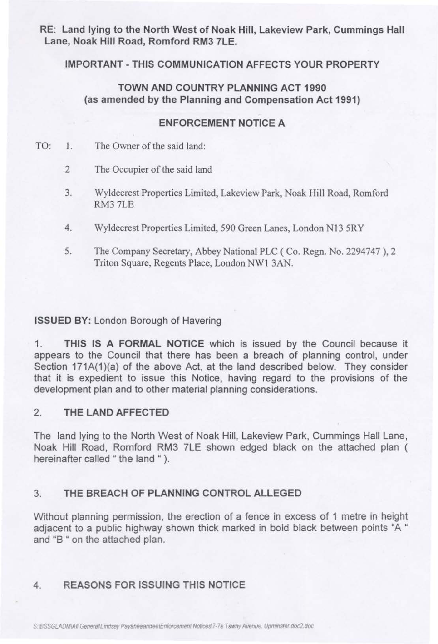RE: Land lying to the North West of Noak Hill, Lakeview Park, Cummings Hall Lane, Noak Hill Road, Romford RM3 7LE.

### IMPORTANT - THIS COMMUNICATION AFFECTS YOUR PROPERTY

## TOWN AND COUNTRY PLANNING ACT 1990 (as amended by the Planning and Compensation Act 1991)

#### ENFORCEMENT NOTICE A

- TO: 1. The Owner of the said land:
	- 2 The Occupier of the said land
	- 3. Wyldecrest Properties Limited, Lakeview Park, Noak Hill Road, Romford RM3 7LE
	- 4. Wyldecrest Properties Limited, 590 Green Lanes, London N13 5RY
	- 5. The Company Secretary, Abbey National PLC (Co. Regn. No. 2294747 ), 2 Triton Square, Regents Place, London NWl 3AN.

#### ISSUED BY: London Borough of Havering

1. THIS IS A FORMAL NOTICE which is issued by the Council because it appears to the Council that there has been a breach of planning control, under Section 171A(1)(a) of the above Act, at the land described below. They consider that it is expedient to issue this Notice, having regard to the provisions of the development plan and to other material planning considerations.

### 2. THE LAND AFFECTED

The land lying to the North West of Noak Hill, Lakeview Park, Cummings Hall Lane, Noak Hill Road, Romford RM3 7LE shown edged black on the attached plan ( hereinafter called " the land " ).

## 3. THE BREACH OF PLANNING CONTROL ALLEGED

Without planning permission, the erection of a fence in excess of 1 metre in height adjacent to a public highway shown thick marked in bold black between points "A " and "B " on the attached plan.

## 4. REASONS FOR ISSUING THIS NOTICE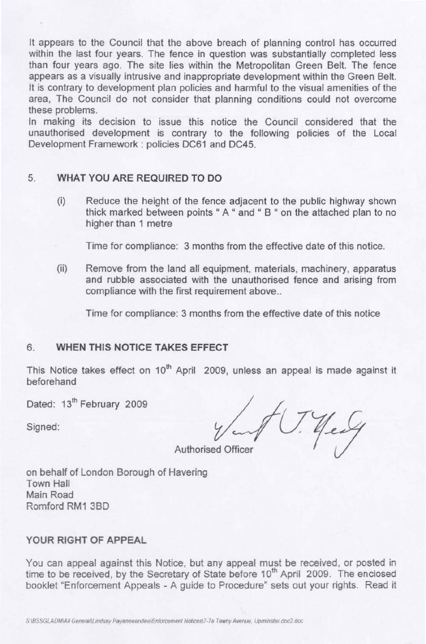It appears to the Council that the above breach of planning control has occurred within the last four years. The fence in question was substantially completed less than four years ago. The site lies within the Metropolitan Green Belt. The fence appears as a visually intrusive and inappropriate development within the Green Belt. It is contrary to development plan policies and harmful to the visual amenities of the area, The Council do not consider that planning conditions could not overcome these problems.

In making its decision to issue this notice the Council considered that the unauthorised development is contrary to the following policies of the Local Development Framework: policies DC61 and DC45.

#### 5. **WHAT YOU ARE REQUIRED TO DO**

thick marked between points " A " and " B " on the attached plan to no (i) Reduce the height of the fence adjacent to the public highway shown higher than 1 metre

Time for compliance: 3 months from the effective date of this notice.

(ii) Remove from the land all equipment, materials, machinery, apparatus and rubble associated with the unauthorised fence and arising from compliance with the first requirement above..

Time for compliance: 3 months from the effective date of this notice

## 6. **WHEN THIS NOTICE TAKES EFFECT**

This Notice takes effect on  $10<sup>th</sup>$  April 2009, unless an appeal is made against it beforehand

Dated: 13<sup>th</sup> February 2009

Signed:

**Authorised Officer** 

on behalf of London Borough of Havering Town Hall Main Road Romford RM1 3BD

# **YOUR RIGHT OF APPEAL**

You can appeal against this Notice, but any appeal must be received, or posted in time to be received, by the Secretary of State before 10<sup>th</sup> April 2009. The enclosed booklet "Enforcement Appeals - A guide to Procedure" sets out your rights. Read it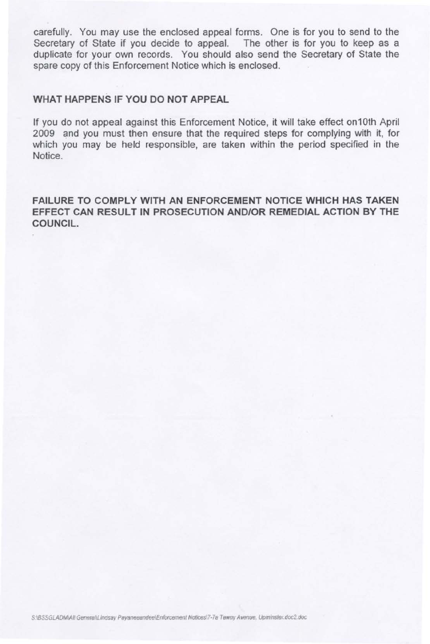carefully. You may use the enclosed appeal forms. One is for you to send to the Secretary of State if you decide to appeal. The other is for you to keep as a duplicate for your own records. You should also send the Secretary of State the spare copy of this Enforcement Notice which is enclosed.

### **WHAT HAPPENS IF YOU DO NOT APPEAL**

If you do not appeal against this Enforcement Notice, it will take effect on10th April 2009 and you must then ensure that the required steps for complying with it, for which you may be held responsible, are taken within the period specified in the Notice.

**FAILURE TO COMPLY WITH AN ENFORCEMENT NOTICE WHICH HAS TAKEN EFFECT CAN RESULT IN PROSECUTION AND/OR REMEDIAL ACTION BY THE COUNCIL.**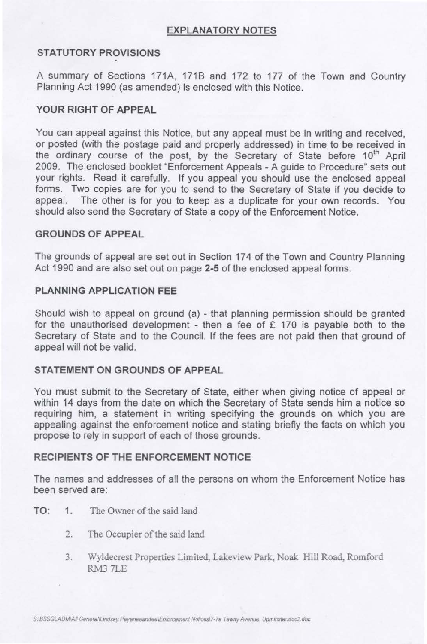## EXPLANATORY NOTES

# STATUTORY PROVISIONS

A summary of Sections 171A, 1718 and 172 to 177 of the Town and Country Planning Act 1990 (as amended) is enclosed with this Notice.

# YOUR RIGHT OF APPEAL

You can appeal against this Notice, but any appeal must be in writing and received, or posted (with the postage paid and properly addressed) in time to be received in the ordinary course of the post, by the Secretary of State before 10<sup>th</sup> April 2009. The enclosed booklet "Enforcement Appeals - A guide to Procedure" sets out your rights. Read it carefully. If you appeal you should use the enclosed appeal forms. Two copies are for you to send to the Secretary of State if you decide to appeal. The other is for you to keep as a duplicate for your own records. You should also send the Secretary of State a copy of the Enforcement Notice.

## GROUNDS OF APPEAL

The grounds of appeal are set out in Section 174 of the Town and Country Planning Act 1990 and are also set out on page 2-5 of the enclosed appeal forms.

## PLANNING APPLICATION FEE

Should wish to appeal on ground (a) - that planning permission should be granted for the unauthorised development - then a fee of  $E$  170 is payable both to the Secretary of State and to the Council. If the fees are not paid then that ground of appeal will not be valid.

# STATEMENT ON GROUNDS OF APPEAL

You must submit to the Secretary of State, either when giving notice of appeal or within 14 days from the date on which the Secretary of State sends him a notice so requiring him, a statement in writing specifying the grounds on which you are appealing against the enforcement notice and stating briefly the facts on which you propose to rely in support of each of those grounds.

### RECIPIENTS OF THE ENFORCEMENT NOTICE

The names and addresses of all the persons on whom the Enforcement Notice has been served are:

- TO: 1. The Owner of the said land
	- 2. The Occupier of the said land
	- 3. Wyldecrest Properties Limited, Lakeview Park, Noak Hill Road, Romford RM3 7LE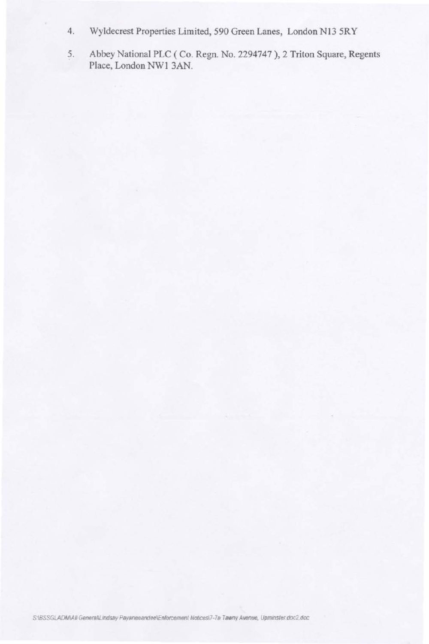- Wyldecrest Properties Limited, 590 Green Lanes, London N13 5RY  $4.$
- 5. Abbey National PLC (Co. Regn. No. 2294747), 2 Triton Square, Regents Place, London NW1 3AN.